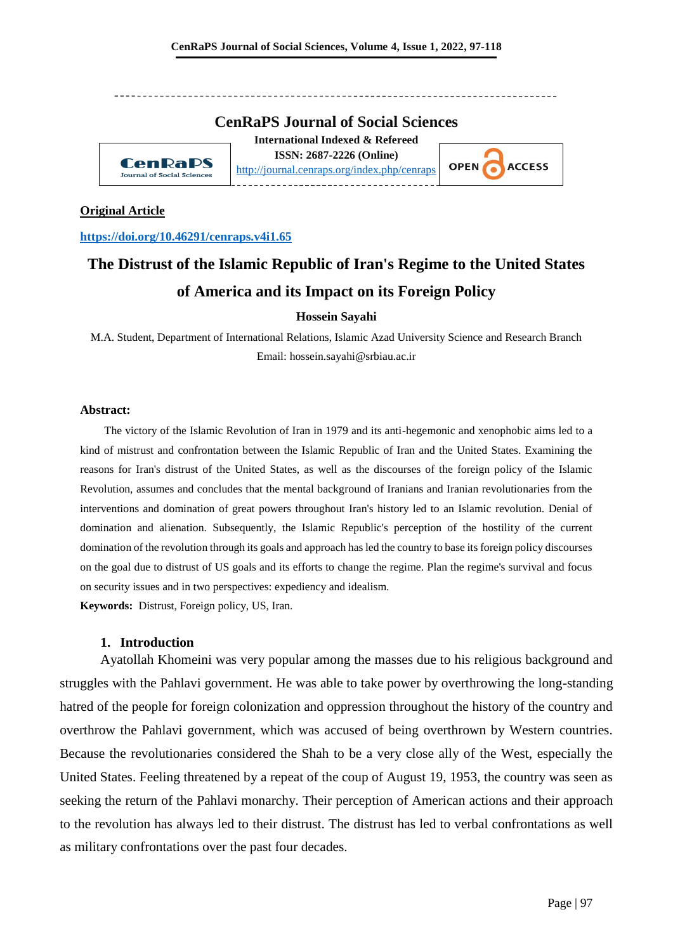### **CenRaPS Journal of Social Sciences**

**CenRaPS** Journal of Social Sciences

**International Indexed & Refereed ISSN: 2687-2226 (Online)** <http://journal.cenraps.org/index.php/cenraps>



#### **Original Article**

**<https://doi.org/10.46291/cenraps.v4i1.65>**

# **The Distrust of the Islamic Republic of Iran's Regime to the United States of America and its Impact on its Foreign Policy**

### **Hossein Sayahi**

M.A. Student, Department of International Relations, Islamic Azad University Science and Research Branch Email: hossein.sayahi@srbiau.ac.ir

#### **Abstract:**

The victory of the Islamic Revolution of Iran in 1979 and its anti-hegemonic and xenophobic aims led to a kind of mistrust and confrontation between the Islamic Republic of Iran and the United States. Examining the reasons for Iran's distrust of the United States, as well as the discourses of the foreign policy of the Islamic Revolution, assumes and concludes that the mental background of Iranians and Iranian revolutionaries from the interventions and domination of great powers throughout Iran's history led to an Islamic revolution. Denial of domination and alienation. Subsequently, the Islamic Republic's perception of the hostility of the current domination of the revolution through its goals and approach has led the country to base its foreign policy discourses on the goal due to distrust of US goals and its efforts to change the regime. Plan the regime's survival and focus on security issues and in two perspectives: expediency and idealism.

**Keywords:** Distrust, Foreign policy, US, Iran.

### **1. Introduction**

Ayatollah Khomeini was very popular among the masses due to his religious background and struggles with the Pahlavi government. He was able to take power by overthrowing the long-standing hatred of the people for foreign colonization and oppression throughout the history of the country and overthrow the Pahlavi government, which was accused of being overthrown by Western countries. Because the revolutionaries considered the Shah to be a very close ally of the West, especially the United States. Feeling threatened by a repeat of the coup of August 19, 1953, the country was seen as seeking the return of the Pahlavi monarchy. Their perception of American actions and their approach to the revolution has always led to their distrust. The distrust has led to verbal confrontations as well as military confrontations over the past four decades.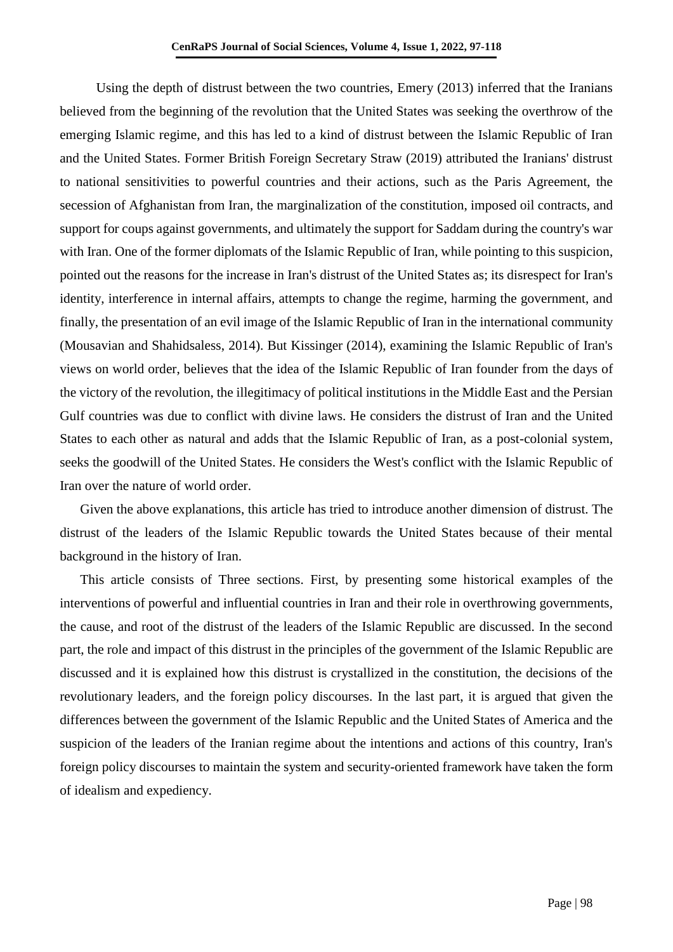Using the depth of distrust between the two countries, Emery (2013) inferred that the Iranians believed from the beginning of the revolution that the United States was seeking the overthrow of the emerging Islamic regime, and this has led to a kind of distrust between the Islamic Republic of Iran and the United States. Former British Foreign Secretary Straw (2019) attributed the Iranians' distrust to national sensitivities to powerful countries and their actions, such as the Paris Agreement, the secession of Afghanistan from Iran, the marginalization of the constitution, imposed oil contracts, and support for coups against governments, and ultimately the support for Saddam during the country's war with Iran. One of the former diplomats of the Islamic Republic of Iran, while pointing to this suspicion, pointed out the reasons for the increase in Iran's distrust of the United States as; its disrespect for Iran's identity, interference in internal affairs, attempts to change the regime, harming the government, and finally, the presentation of an evil image of the Islamic Republic of Iran in the international community (Mousavian and Shahidsaless, 2014). But Kissinger (2014), examining the Islamic Republic of Iran's views on world order, believes that the idea of the Islamic Republic of Iran founder from the days of the victory of the revolution, the illegitimacy of political institutions in the Middle East and the Persian Gulf countries was due to conflict with divine laws. He considers the distrust of Iran and the United States to each other as natural and adds that the Islamic Republic of Iran, as a post-colonial system, seeks the goodwill of the United States. He considers the West's conflict with the Islamic Republic of Iran over the nature of world order.

Given the above explanations, this article has tried to introduce another dimension of distrust. The distrust of the leaders of the Islamic Republic towards the United States because of their mental background in the history of Iran.

This article consists of Three sections. First, by presenting some historical examples of the interventions of powerful and influential countries in Iran and their role in overthrowing governments, the cause, and root of the distrust of the leaders of the Islamic Republic are discussed. In the second part, the role and impact of this distrust in the principles of the government of the Islamic Republic are discussed and it is explained how this distrust is crystallized in the constitution, the decisions of the revolutionary leaders, and the foreign policy discourses. In the last part, it is argued that given the differences between the government of the Islamic Republic and the United States of America and the suspicion of the leaders of the Iranian regime about the intentions and actions of this country, Iran's foreign policy discourses to maintain the system and security-oriented framework have taken the form of idealism and expediency.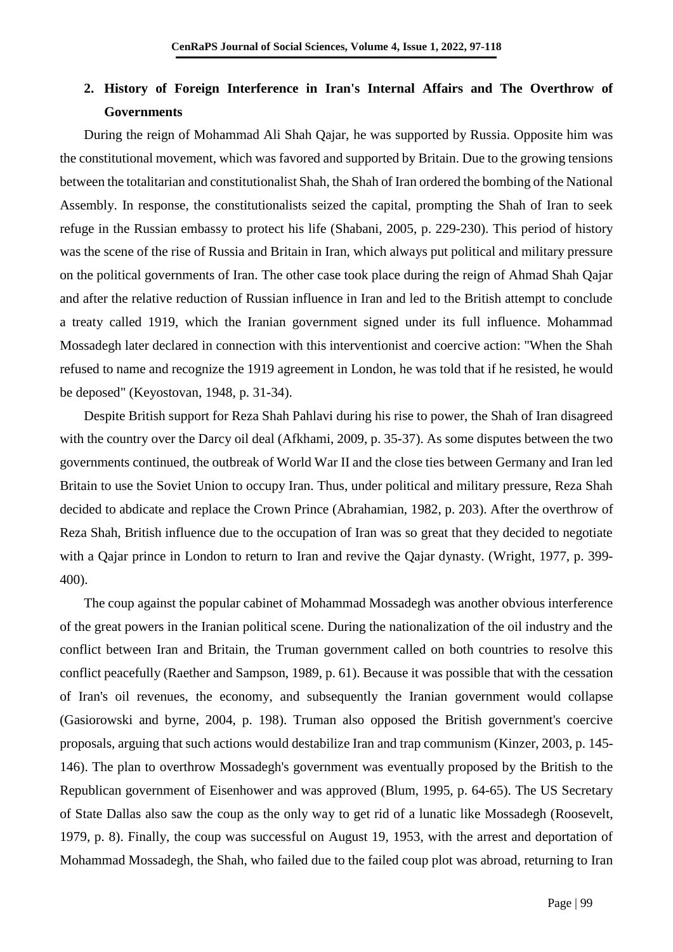# **2. History of Foreign Interference in Iran's Internal Affairs and The Overthrow of Governments**

During the reign of Mohammad Ali Shah Qajar, he was supported by Russia. Opposite him was the constitutional movement, which was favored and supported by Britain. Due to the growing tensions between the totalitarian and constitutionalist Shah, the Shah of Iran ordered the bombing of the National Assembly. In response, the constitutionalists seized the capital, prompting the Shah of Iran to seek refuge in the Russian embassy to protect his life (Shabani, 2005, p. 229-230). This period of history was the scene of the rise of Russia and Britain in Iran, which always put political and military pressure on the political governments of Iran. The other case took place during the reign of Ahmad Shah Qajar and after the relative reduction of Russian influence in Iran and led to the British attempt to conclude a treaty called 1919, which the Iranian government signed under its full influence. Mohammad Mossadegh later declared in connection with this interventionist and coercive action: "When the Shah refused to name and recognize the 1919 agreement in London, he was told that if he resisted, he would be deposed" (Keyostovan, 1948, p. 31-34).

Despite British support for Reza Shah Pahlavi during his rise to power, the Shah of Iran disagreed with the country over the Darcy oil deal (Afkhami, 2009, p. 35-37). As some disputes between the two governments continued, the outbreak of World War II and the close ties between Germany and Iran led Britain to use the Soviet Union to occupy Iran. Thus, under political and military pressure, Reza Shah decided to abdicate and replace the Crown Prince (Abrahamian, 1982, p. 203). After the overthrow of Reza Shah, British influence due to the occupation of Iran was so great that they decided to negotiate with a Qajar prince in London to return to Iran and revive the Qajar dynasty. (Wright, 1977, p. 399- 400).

The coup against the popular cabinet of Mohammad Mossadegh was another obvious interference of the great powers in the Iranian political scene. During the nationalization of the oil industry and the conflict between Iran and Britain, the Truman government called on both countries to resolve this conflict peacefully (Raether and Sampson, 1989, p. 61). Because it was possible that with the cessation of Iran's oil revenues, the economy, and subsequently the Iranian government would collapse (Gasiorowski and byrne, 2004, p. 198). Truman also opposed the British government's coercive proposals, arguing that such actions would destabilize Iran and trap communism (Kinzer, 2003, p. 145- 146). The plan to overthrow Mossadegh's government was eventually proposed by the British to the Republican government of Eisenhower and was approved (Blum, 1995, p. 64-65). The US Secretary of State Dallas also saw the coup as the only way to get rid of a lunatic like Mossadegh (Roosevelt, 1979, p. 8). Finally, the coup was successful on August 19, 1953, with the arrest and deportation of Mohammad Mossadegh, the Shah, who failed due to the failed coup plot was abroad, returning to Iran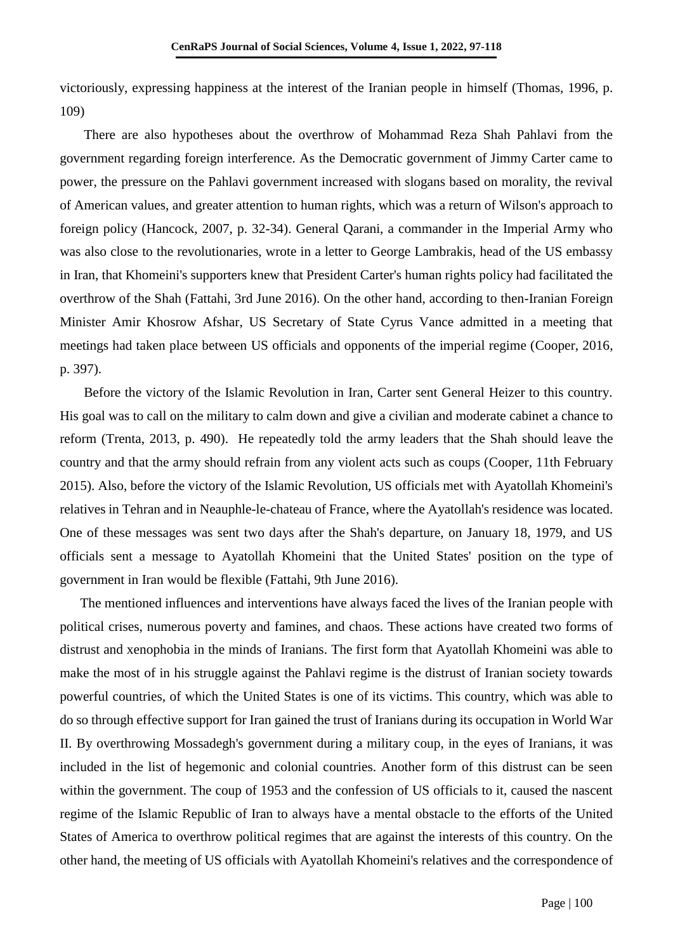victoriously, expressing happiness at the interest of the Iranian people in himself (Thomas, 1996, p. 109)

There are also hypotheses about the overthrow of Mohammad Reza Shah Pahlavi from the government regarding foreign interference. As the Democratic government of Jimmy Carter came to power, the pressure on the Pahlavi government increased with slogans based on morality, the revival of American values, and greater attention to human rights, which was a return of Wilson's approach to foreign policy (Hancock, 2007, p. 32-34). General Qarani, a commander in the Imperial Army who was also close to the revolutionaries, wrote in a letter to George Lambrakis, head of the US embassy in Iran, that Khomeini's supporters knew that President Carter's human rights policy had facilitated the overthrow of the Shah (Fattahi, 3rd June 2016). On the other hand, according to then-Iranian Foreign Minister Amir Khosrow Afshar, US Secretary of State Cyrus Vance admitted in a meeting that meetings had taken place between US officials and opponents of the imperial regime (Cooper, 2016, p. 397).

Before the victory of the Islamic Revolution in Iran, Carter sent General Heizer to this country. His goal was to call on the military to calm down and give a civilian and moderate cabinet a chance to reform (Trenta, 2013, p. 490). He repeatedly told the army leaders that the Shah should leave the country and that the army should refrain from any violent acts such as coups (Cooper, 11th February 2015). Also, before the victory of the Islamic Revolution, US officials met with Ayatollah Khomeini's relatives in Tehran and in Neauphle-le-chateau of France, where the Ayatollah's residence was located. One of these messages was sent two days after the Shah's departure, on January 18, 1979, and US officials sent a message to Ayatollah Khomeini that the United States' position on the type of government in Iran would be flexible (Fattahi, 9th June 2016).

The mentioned influences and interventions have always faced the lives of the Iranian people with political crises, numerous poverty and famines, and chaos. These actions have created two forms of distrust and xenophobia in the minds of Iranians. The first form that Ayatollah Khomeini was able to make the most of in his struggle against the Pahlavi regime is the distrust of Iranian society towards powerful countries, of which the United States is one of its victims. This country, which was able to do so through effective support for Iran gained the trust of Iranians during its occupation in World War II. By overthrowing Mossadegh's government during a military coup, in the eyes of Iranians, it was included in the list of hegemonic and colonial countries. Another form of this distrust can be seen within the government. The coup of 1953 and the confession of US officials to it, caused the nascent regime of the Islamic Republic of Iran to always have a mental obstacle to the efforts of the United States of America to overthrow political regimes that are against the interests of this country. On the other hand, the meeting of US officials with Ayatollah Khomeini's relatives and the correspondence of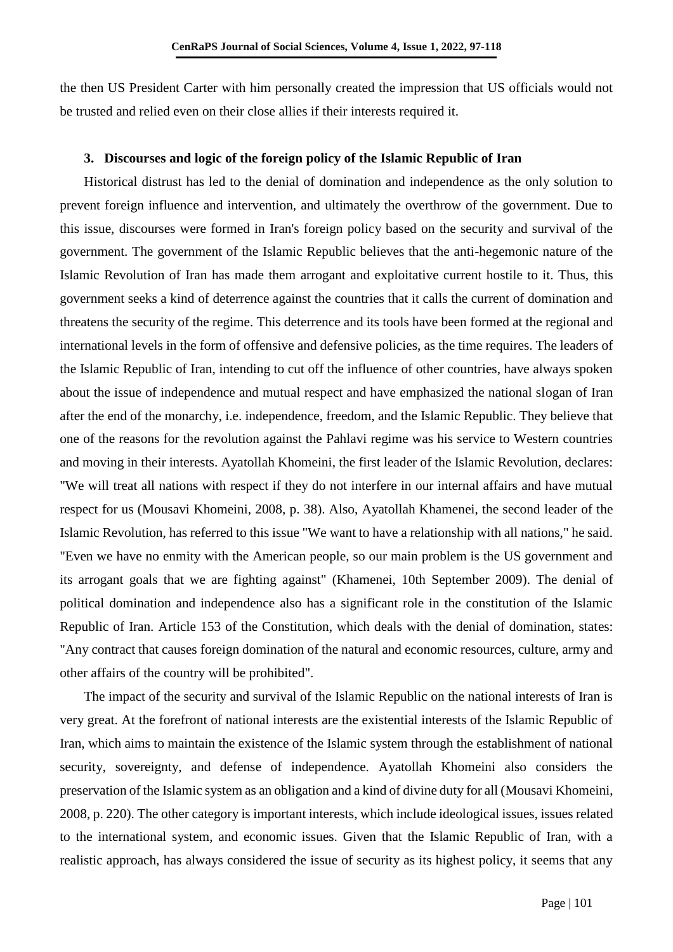the then US President Carter with him personally created the impression that US officials would not be trusted and relied even on their close allies if their interests required it.

### **3. Discourses and logic of the foreign policy of the Islamic Republic of Iran**

Historical distrust has led to the denial of domination and independence as the only solution to prevent foreign influence and intervention, and ultimately the overthrow of the government. Due to this issue, discourses were formed in Iran's foreign policy based on the security and survival of the government. The government of the Islamic Republic believes that the anti-hegemonic nature of the Islamic Revolution of Iran has made them arrogant and exploitative current hostile to it. Thus, this government seeks a kind of deterrence against the countries that it calls the current of domination and threatens the security of the regime. This deterrence and its tools have been formed at the regional and international levels in the form of offensive and defensive policies, as the time requires. The leaders of the Islamic Republic of Iran, intending to cut off the influence of other countries, have always spoken about the issue of independence and mutual respect and have emphasized the national slogan of Iran after the end of the monarchy, i.e. independence, freedom, and the Islamic Republic. They believe that one of the reasons for the revolution against the Pahlavi regime was his service to Western countries and moving in their interests. Ayatollah Khomeini, the first leader of the Islamic Revolution, declares: "We will treat all nations with respect if they do not interfere in our internal affairs and have mutual respect for us (Mousavi Khomeini, 2008, p. 38). Also, Ayatollah Khamenei, the second leader of the Islamic Revolution, has referred to this issue "We want to have a relationship with all nations," he said. "Even we have no enmity with the American people, so our main problem is the US government and its arrogant goals that we are fighting against" (Khamenei, 10th September 2009). The denial of political domination and independence also has a significant role in the constitution of the Islamic Republic of Iran. Article 153 of the Constitution, which deals with the denial of domination, states: "Any contract that causes foreign domination of the natural and economic resources, culture, army and other affairs of the country will be prohibited".

The impact of the security and survival of the Islamic Republic on the national interests of Iran is very great. At the forefront of national interests are the existential interests of the Islamic Republic of Iran, which aims to maintain the existence of the Islamic system through the establishment of national security, sovereignty, and defense of independence. Ayatollah Khomeini also considers the preservation of the Islamic system as an obligation and a kind of divine duty for all (Mousavi Khomeini, 2008, p. 220). The other category is important interests, which include ideological issues, issues related to the international system, and economic issues. Given that the Islamic Republic of Iran, with a realistic approach, has always considered the issue of security as its highest policy, it seems that any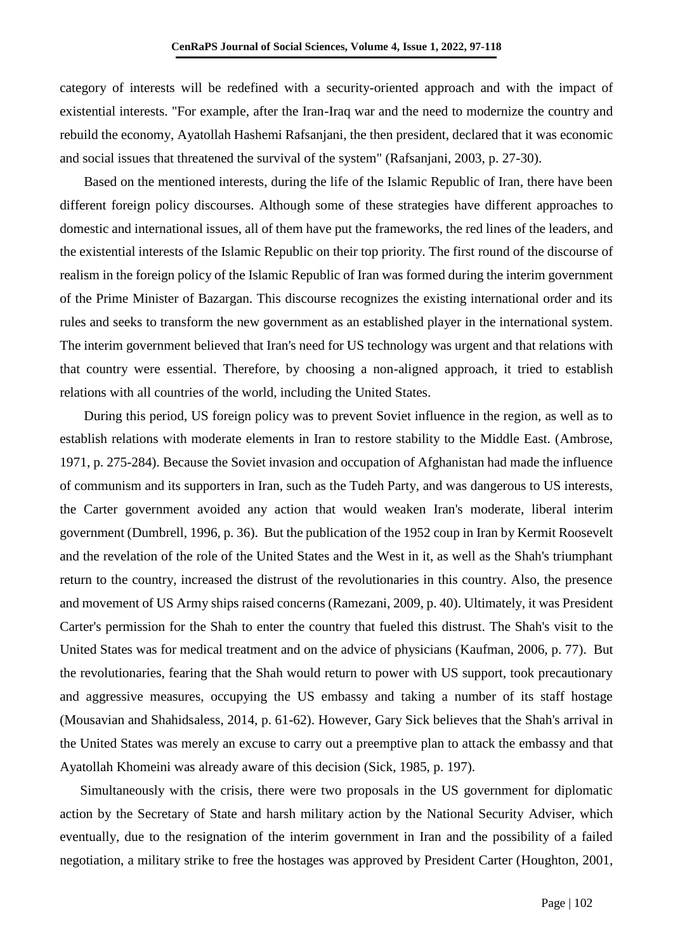category of interests will be redefined with a security-oriented approach and with the impact of existential interests. "For example, after the Iran-Iraq war and the need to modernize the country and rebuild the economy, Ayatollah Hashemi Rafsanjani, the then president, declared that it was economic and social issues that threatened the survival of the system" (Rafsanjani, 2003, p. 27-30).

Based on the mentioned interests, during the life of the Islamic Republic of Iran, there have been different foreign policy discourses. Although some of these strategies have different approaches to domestic and international issues, all of them have put the frameworks, the red lines of the leaders, and the existential interests of the Islamic Republic on their top priority. The first round of the discourse of realism in the foreign policy of the Islamic Republic of Iran was formed during the interim government of the Prime Minister of Bazargan. This discourse recognizes the existing international order and its rules and seeks to transform the new government as an established player in the international system. The interim government believed that Iran's need for US technology was urgent and that relations with that country were essential. Therefore, by choosing a non-aligned approach, it tried to establish relations with all countries of the world, including the United States.

During this period, US foreign policy was to prevent Soviet influence in the region, as well as to establish relations with moderate elements in Iran to restore stability to the Middle East. (Ambrose, 1971, p. 275-284). Because the Soviet invasion and occupation of Afghanistan had made the influence of communism and its supporters in Iran, such as the Tudeh Party, and was dangerous to US interests, the Carter government avoided any action that would weaken Iran's moderate, liberal interim government (Dumbrell, 1996, p. 36). But the publication of the 1952 coup in Iran by Kermit Roosevelt and the revelation of the role of the United States and the West in it, as well as the Shah's triumphant return to the country, increased the distrust of the revolutionaries in this country. Also, the presence and movement of US Army ships raised concerns (Ramezani, 2009, p. 40). Ultimately, it was President Carter's permission for the Shah to enter the country that fueled this distrust. The Shah's visit to the United States was for medical treatment and on the advice of physicians (Kaufman, 2006, p. 77). But the revolutionaries, fearing that the Shah would return to power with US support, took precautionary and aggressive measures, occupying the US embassy and taking a number of its staff hostage (Mousavian and Shahidsaless, 2014, p. 61-62). However, Gary Sick believes that the Shah's arrival in the United States was merely an excuse to carry out a preemptive plan to attack the embassy and that Ayatollah Khomeini was already aware of this decision (Sick, 1985, p. 197).

Simultaneously with the crisis, there were two proposals in the US government for diplomatic action by the Secretary of State and harsh military action by the National Security Adviser, which eventually, due to the resignation of the interim government in Iran and the possibility of a failed negotiation, a military strike to free the hostages was approved by President Carter (Houghton, 2001,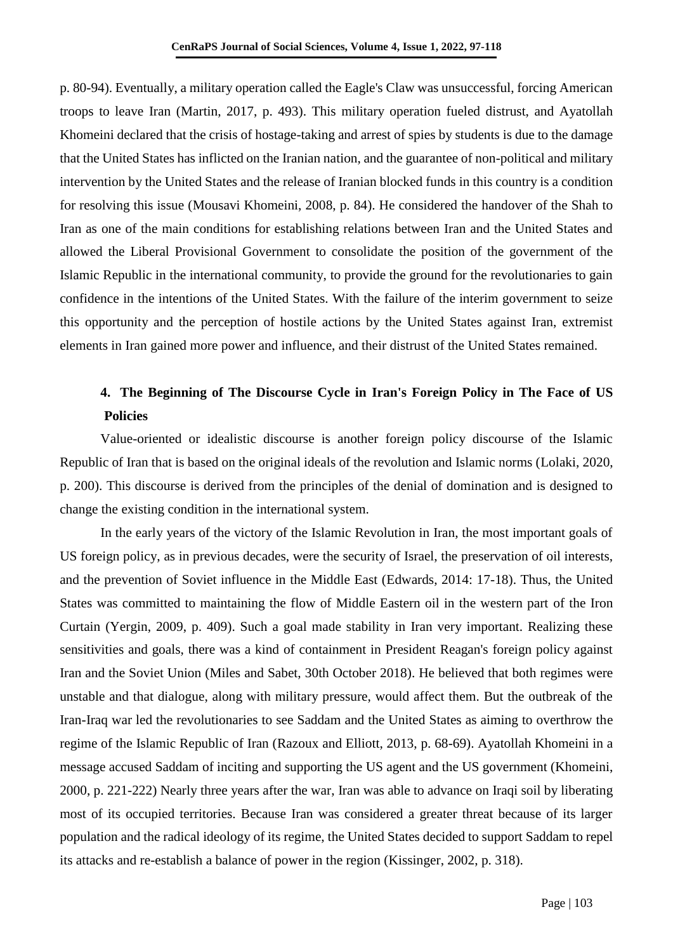p. 80-94). Eventually, a military operation called the Eagle's Claw was unsuccessful, forcing American troops to leave Iran (Martin, 2017, p. 493). This military operation fueled distrust, and Ayatollah Khomeini declared that the crisis of hostage-taking and arrest of spies by students is due to the damage that the United States has inflicted on the Iranian nation, and the guarantee of non-political and military intervention by the United States and the release of Iranian blocked funds in this country is a condition for resolving this issue (Mousavi Khomeini, 2008, p. 84). He considered the handover of the Shah to Iran as one of the main conditions for establishing relations between Iran and the United States and allowed the Liberal Provisional Government to consolidate the position of the government of the Islamic Republic in the international community, to provide the ground for the revolutionaries to gain confidence in the intentions of the United States. With the failure of the interim government to seize this opportunity and the perception of hostile actions by the United States against Iran, extremist elements in Iran gained more power and influence, and their distrust of the United States remained.

# **4. The Beginning of The Discourse Cycle in Iran's Foreign Policy in The Face of US Policies**

Value-oriented or idealistic discourse is another foreign policy discourse of the Islamic Republic of Iran that is based on the original ideals of the revolution and Islamic norms (Lolaki, 2020, p. 200). This discourse is derived from the principles of the denial of domination and is designed to change the existing condition in the international system.

In the early years of the victory of the Islamic Revolution in Iran, the most important goals of US foreign policy, as in previous decades, were the security of Israel, the preservation of oil interests, and the prevention of Soviet influence in the Middle East (Edwards, 2014: 17-18). Thus, the United States was committed to maintaining the flow of Middle Eastern oil in the western part of the Iron Curtain (Yergin, 2009, p. 409). Such a goal made stability in Iran very important. Realizing these sensitivities and goals, there was a kind of containment in President Reagan's foreign policy against Iran and the Soviet Union (Miles and Sabet, 30th October 2018). He believed that both regimes were unstable and that dialogue, along with military pressure, would affect them. But the outbreak of the Iran-Iraq war led the revolutionaries to see Saddam and the United States as aiming to overthrow the regime of the Islamic Republic of Iran (Razoux and Elliott, 2013, p. 68-69). Ayatollah Khomeini in a message accused Saddam of inciting and supporting the US agent and the US government (Khomeini, 2000, p. 221-222) Nearly three years after the war, Iran was able to advance on Iraqi soil by liberating most of its occupied territories. Because Iran was considered a greater threat because of its larger population and the radical ideology of its regime, the United States decided to support Saddam to repel its attacks and re-establish a balance of power in the region (Kissinger, 2002, p. 318).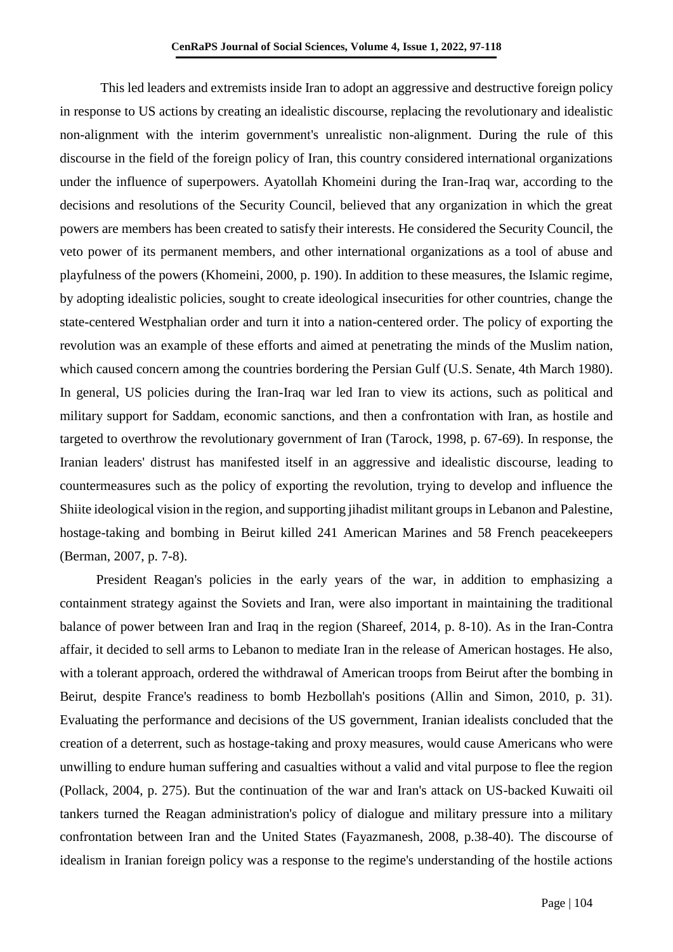This led leaders and extremists inside Iran to adopt an aggressive and destructive foreign policy in response to US actions by creating an idealistic discourse, replacing the revolutionary and idealistic non-alignment with the interim government's unrealistic non-alignment. During the rule of this discourse in the field of the foreign policy of Iran, this country considered international organizations under the influence of superpowers. Ayatollah Khomeini during the Iran-Iraq war, according to the decisions and resolutions of the Security Council, believed that any organization in which the great powers are members has been created to satisfy their interests. He considered the Security Council, the veto power of its permanent members, and other international organizations as a tool of abuse and playfulness of the powers (Khomeini, 2000, p. 190). In addition to these measures, the Islamic regime, by adopting idealistic policies, sought to create ideological insecurities for other countries, change the state-centered Westphalian order and turn it into a nation-centered order. The policy of exporting the revolution was an example of these efforts and aimed at penetrating the minds of the Muslim nation, which caused concern among the countries bordering the Persian Gulf (U.S. Senate, 4th March 1980). In general, US policies during the Iran-Iraq war led Iran to view its actions, such as political and military support for Saddam, economic sanctions, and then a confrontation with Iran, as hostile and targeted to overthrow the revolutionary government of Iran (Tarock, 1998, p. 67-69). In response, the Iranian leaders' distrust has manifested itself in an aggressive and idealistic discourse, leading to countermeasures such as the policy of exporting the revolution, trying to develop and influence the Shiite ideological vision in the region, and supporting jihadist militant groups in Lebanon and Palestine, hostage-taking and bombing in Beirut killed 241 American Marines and 58 French peacekeepers (Berman, 2007, p. 7-8).

President Reagan's policies in the early years of the war, in addition to emphasizing a containment strategy against the Soviets and Iran, were also important in maintaining the traditional balance of power between Iran and Iraq in the region (Shareef, 2014, p. 8-10). As in the Iran-Contra affair, it decided to sell arms to Lebanon to mediate Iran in the release of American hostages. He also, with a tolerant approach, ordered the withdrawal of American troops from Beirut after the bombing in Beirut, despite France's readiness to bomb Hezbollah's positions (Allin and Simon, 2010, p. 31). Evaluating the performance and decisions of the US government, Iranian idealists concluded that the creation of a deterrent, such as hostage-taking and proxy measures, would cause Americans who were unwilling to endure human suffering and casualties without a valid and vital purpose to flee the region (Pollack, 2004, p. 275). But the continuation of the war and Iran's attack on US-backed Kuwaiti oil tankers turned the Reagan administration's policy of dialogue and military pressure into a military confrontation between Iran and the United States (Fayazmanesh, 2008, p.38-40). The discourse of idealism in Iranian foreign policy was a response to the regime's understanding of the hostile actions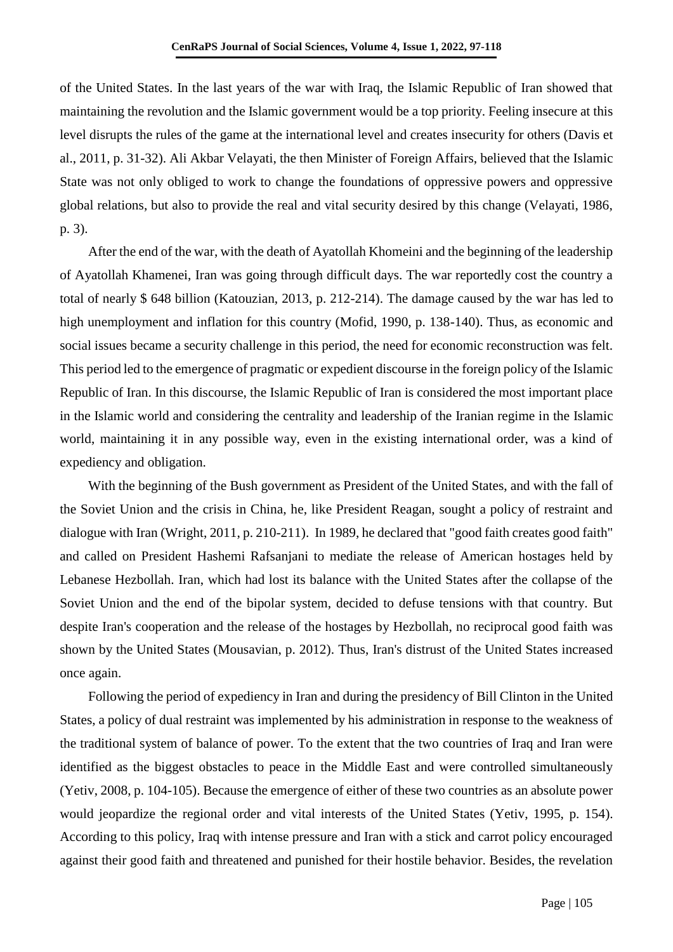of the United States. In the last years of the war with Iraq, the Islamic Republic of Iran showed that maintaining the revolution and the Islamic government would be a top priority. Feeling insecure at this level disrupts the rules of the game at the international level and creates insecurity for others (Davis et al., 2011, p. 31-32). Ali Akbar Velayati, the then Minister of Foreign Affairs, believed that the Islamic State was not only obliged to work to change the foundations of oppressive powers and oppressive global relations, but also to provide the real and vital security desired by this change (Velayati, 1986, p. 3).

After the end of the war, with the death of Ayatollah Khomeini and the beginning of the leadership of Ayatollah Khamenei, Iran was going through difficult days. The war reportedly cost the country a total of nearly \$ 648 billion (Katouzian, 2013, p. 212-214). The damage caused by the war has led to high unemployment and inflation for this country (Mofid, 1990, p. 138-140). Thus, as economic and social issues became a security challenge in this period, the need for economic reconstruction was felt. This period led to the emergence of pragmatic or expedient discourse in the foreign policy of the Islamic Republic of Iran. In this discourse, the Islamic Republic of Iran is considered the most important place in the Islamic world and considering the centrality and leadership of the Iranian regime in the Islamic world, maintaining it in any possible way, even in the existing international order, was a kind of expediency and obligation.

With the beginning of the Bush government as President of the United States, and with the fall of the Soviet Union and the crisis in China, he, like President Reagan, sought a policy of restraint and dialogue with Iran (Wright, 2011, p. 210-211). In 1989, he declared that "good faith creates good faith" and called on President Hashemi Rafsanjani to mediate the release of American hostages held by Lebanese Hezbollah. Iran, which had lost its balance with the United States after the collapse of the Soviet Union and the end of the bipolar system, decided to defuse tensions with that country. But despite Iran's cooperation and the release of the hostages by Hezbollah, no reciprocal good faith was shown by the United States (Mousavian, p. 2012). Thus, Iran's distrust of the United States increased once again.

Following the period of expediency in Iran and during the presidency of Bill Clinton in the United States, a policy of dual restraint was implemented by his administration in response to the weakness of the traditional system of balance of power. To the extent that the two countries of Iraq and Iran were identified as the biggest obstacles to peace in the Middle East and were controlled simultaneously (Yetiv, 2008, p. 104-105). Because the emergence of either of these two countries as an absolute power would jeopardize the regional order and vital interests of the United States (Yetiv, 1995, p. 154). According to this policy, Iraq with intense pressure and Iran with a stick and carrot policy encouraged against their good faith and threatened and punished for their hostile behavior. Besides, the revelation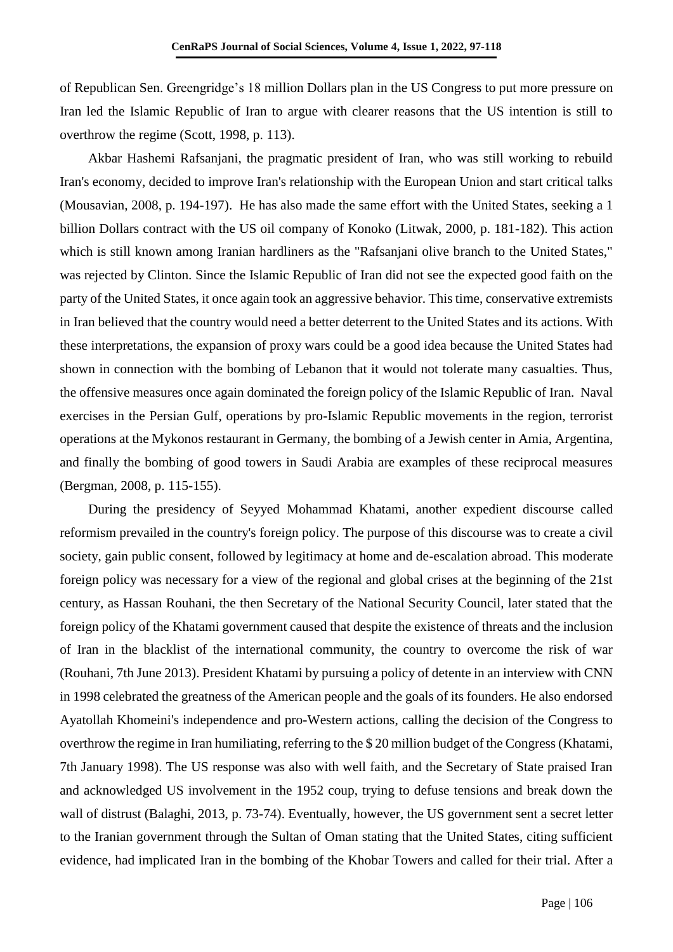of Republican Sen. Greengridge's 18 million Dollars plan in the US Congress to put more pressure on Iran led the Islamic Republic of Iran to argue with clearer reasons that the US intention is still to overthrow the regime (Scott, 1998, p. 113).

Akbar Hashemi Rafsanjani, the pragmatic president of Iran, who was still working to rebuild Iran's economy, decided to improve Iran's relationship with the European Union and start critical talks (Mousavian, 2008, p. 194-197). He has also made the same effort with the United States, seeking a 1 billion Dollars contract with the US oil company of Konoko (Litwak, 2000, p. 181-182). This action which is still known among Iranian hardliners as the "Rafsanjani olive branch to the United States," was rejected by Clinton. Since the Islamic Republic of Iran did not see the expected good faith on the party of the United States, it once again took an aggressive behavior. This time, conservative extremists in Iran believed that the country would need a better deterrent to the United States and its actions. With these interpretations, the expansion of proxy wars could be a good idea because the United States had shown in connection with the bombing of Lebanon that it would not tolerate many casualties. Thus, the offensive measures once again dominated the foreign policy of the Islamic Republic of Iran. Naval exercises in the Persian Gulf, operations by pro-Islamic Republic movements in the region, terrorist operations at the Mykonos restaurant in Germany, the bombing of a Jewish center in Amia, Argentina, and finally the bombing of good towers in Saudi Arabia are examples of these reciprocal measures (Bergman, 2008, p. 115-155).

During the presidency of Seyyed Mohammad Khatami, another expedient discourse called reformism prevailed in the country's foreign policy. The purpose of this discourse was to create a civil society, gain public consent, followed by legitimacy at home and de-escalation abroad. This moderate foreign policy was necessary for a view of the regional and global crises at the beginning of the 21st century, as Hassan Rouhani, the then Secretary of the National Security Council, later stated that the foreign policy of the Khatami government caused that despite the existence of threats and the inclusion of Iran in the blacklist of the international community, the country to overcome the risk of war (Rouhani, 7th June 2013). President Khatami by pursuing a policy of detente in an interview with CNN in 1998 celebrated the greatness of the American people and the goals of its founders. He also endorsed Ayatollah Khomeini's independence and pro-Western actions, calling the decision of the Congress to overthrow the regime in Iran humiliating, referring to the \$ 20 million budget of the Congress (Khatami, 7th January 1998). The US response was also with well faith, and the Secretary of State praised Iran and acknowledged US involvement in the 1952 coup, trying to defuse tensions and break down the wall of distrust (Balaghi, 2013, p. 73-74). Eventually, however, the US government sent a secret letter to the Iranian government through the Sultan of Oman stating that the United States, citing sufficient evidence, had implicated Iran in the bombing of the Khobar Towers and called for their trial. After a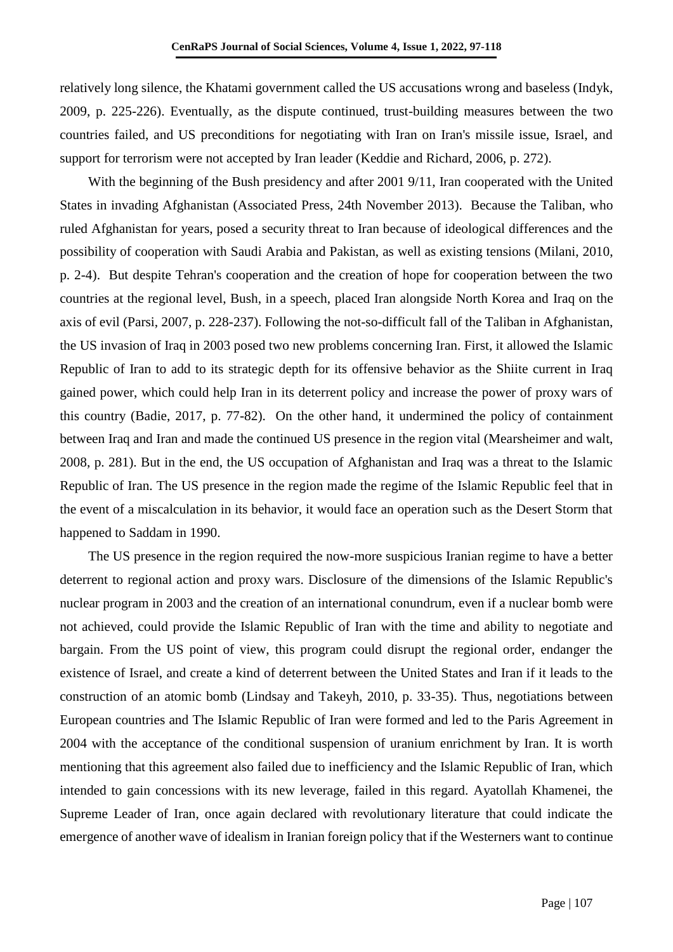relatively long silence, the Khatami government called the US accusations wrong and baseless (Indyk, 2009, p. 225-226). Eventually, as the dispute continued, trust-building measures between the two countries failed, and US preconditions for negotiating with Iran on Iran's missile issue, Israel, and support for terrorism were not accepted by Iran leader (Keddie and Richard, 2006, p. 272).

With the beginning of the Bush presidency and after 2001 9/11, Iran cooperated with the United States in invading Afghanistan (Associated Press, 24th November 2013). Because the Taliban, who ruled Afghanistan for years, posed a security threat to Iran because of ideological differences and the possibility of cooperation with Saudi Arabia and Pakistan, as well as existing tensions (Milani, 2010, p. 2-4). But despite Tehran's cooperation and the creation of hope for cooperation between the two countries at the regional level, Bush, in a speech, placed Iran alongside North Korea and Iraq on the axis of evil (Parsi, 2007, p. 228-237). Following the not-so-difficult fall of the Taliban in Afghanistan, the US invasion of Iraq in 2003 posed two new problems concerning Iran. First, it allowed the Islamic Republic of Iran to add to its strategic depth for its offensive behavior as the Shiite current in Iraq gained power, which could help Iran in its deterrent policy and increase the power of proxy wars of this country (Badie, 2017, p. 77-82). On the other hand, it undermined the policy of containment between Iraq and Iran and made the continued US presence in the region vital (Mearsheimer and walt, 2008, p. 281). But in the end, the US occupation of Afghanistan and Iraq was a threat to the Islamic Republic of Iran. The US presence in the region made the regime of the Islamic Republic feel that in the event of a miscalculation in its behavior, it would face an operation such as the Desert Storm that happened to Saddam in 1990.

The US presence in the region required the now-more suspicious Iranian regime to have a better deterrent to regional action and proxy wars. Disclosure of the dimensions of the Islamic Republic's nuclear program in 2003 and the creation of an international conundrum, even if a nuclear bomb were not achieved, could provide the Islamic Republic of Iran with the time and ability to negotiate and bargain. From the US point of view, this program could disrupt the regional order, endanger the existence of Israel, and create a kind of deterrent between the United States and Iran if it leads to the construction of an atomic bomb (Lindsay and Takeyh, 2010, p. 33-35). Thus, negotiations between European countries and The Islamic Republic of Iran were formed and led to the Paris Agreement in 2004 with the acceptance of the conditional suspension of uranium enrichment by Iran. It is worth mentioning that this agreement also failed due to inefficiency and the Islamic Republic of Iran, which intended to gain concessions with its new leverage, failed in this regard. Ayatollah Khamenei, the Supreme Leader of Iran, once again declared with revolutionary literature that could indicate the emergence of another wave of idealism in Iranian foreign policy that if the Westerners want to continue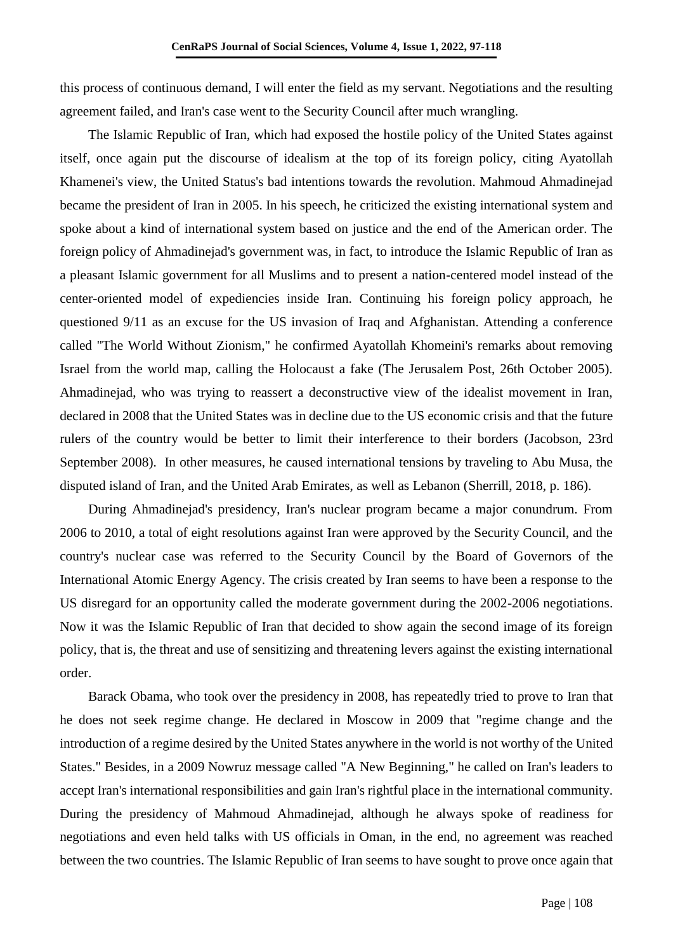this process of continuous demand, I will enter the field as my servant. Negotiations and the resulting agreement failed, and Iran's case went to the Security Council after much wrangling.

The Islamic Republic of Iran, which had exposed the hostile policy of the United States against itself, once again put the discourse of idealism at the top of its foreign policy, citing Ayatollah Khamenei's view, the United Status's bad intentions towards the revolution. Mahmoud Ahmadinejad became the president of Iran in 2005. In his speech, he criticized the existing international system and spoke about a kind of international system based on justice and the end of the American order. The foreign policy of Ahmadinejad's government was, in fact, to introduce the Islamic Republic of Iran as a pleasant Islamic government for all Muslims and to present a nation-centered model instead of the center-oriented model of expediencies inside Iran. Continuing his foreign policy approach, he questioned 9/11 as an excuse for the US invasion of Iraq and Afghanistan. Attending a conference called "The World Without Zionism," he confirmed Ayatollah Khomeini's remarks about removing Israel from the world map, calling the Holocaust a fake (The Jerusalem Post, 26th October 2005). Ahmadinejad, who was trying to reassert a deconstructive view of the idealist movement in Iran, declared in 2008 that the United States was in decline due to the US economic crisis and that the future rulers of the country would be better to limit their interference to their borders (Jacobson, 23rd September 2008). In other measures, he caused international tensions by traveling to Abu Musa, the disputed island of Iran, and the United Arab Emirates, as well as Lebanon (Sherrill, 2018, p. 186).

During Ahmadinejad's presidency, Iran's nuclear program became a major conundrum. From 2006 to 2010, a total of eight resolutions against Iran were approved by the Security Council, and the country's nuclear case was referred to the Security Council by the Board of Governors of the International Atomic Energy Agency. The crisis created by Iran seems to have been a response to the US disregard for an opportunity called the moderate government during the 2002-2006 negotiations. Now it was the Islamic Republic of Iran that decided to show again the second image of its foreign policy, that is, the threat and use of sensitizing and threatening levers against the existing international order.

Barack Obama, who took over the presidency in 2008, has repeatedly tried to prove to Iran that he does not seek regime change. He declared in Moscow in 2009 that "regime change and the introduction of a regime desired by the United States anywhere in the world is not worthy of the United States." Besides, in a 2009 Nowruz message called "A New Beginning," he called on Iran's leaders to accept Iran's international responsibilities and gain Iran's rightful place in the international community. During the presidency of Mahmoud Ahmadinejad, although he always spoke of readiness for negotiations and even held talks with US officials in Oman, in the end, no agreement was reached between the two countries. The Islamic Republic of Iran seems to have sought to prove once again that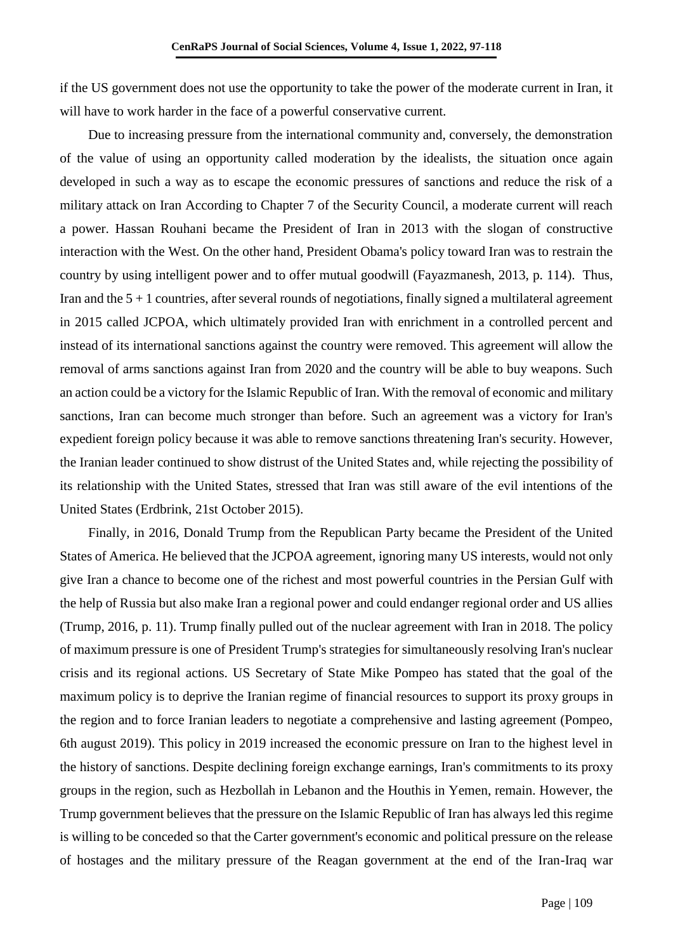if the US government does not use the opportunity to take the power of the moderate current in Iran, it will have to work harder in the face of a powerful conservative current.

Due to increasing pressure from the international community and, conversely, the demonstration of the value of using an opportunity called moderation by the idealists, the situation once again developed in such a way as to escape the economic pressures of sanctions and reduce the risk of a military attack on Iran According to Chapter 7 of the Security Council, a moderate current will reach a power. Hassan Rouhani became the President of Iran in 2013 with the slogan of constructive interaction with the West. On the other hand, President Obama's policy toward Iran was to restrain the country by using intelligent power and to offer mutual goodwill (Fayazmanesh, 2013, p. 114). Thus, Iran and the  $5 + 1$  countries, after several rounds of negotiations, finally signed a multilateral agreement in 2015 called JCPOA, which ultimately provided Iran with enrichment in a controlled percent and instead of its international sanctions against the country were removed. This agreement will allow the removal of arms sanctions against Iran from 2020 and the country will be able to buy weapons. Such an action could be a victory for the Islamic Republic of Iran. With the removal of economic and military sanctions, Iran can become much stronger than before. Such an agreement was a victory for Iran's expedient foreign policy because it was able to remove sanctions threatening Iran's security. However, the Iranian leader continued to show distrust of the United States and, while rejecting the possibility of its relationship with the United States, stressed that Iran was still aware of the evil intentions of the United States (Erdbrink, 21st October 2015).

Finally, in 2016, Donald Trump from the Republican Party became the President of the United States of America. He believed that the JCPOA agreement, ignoring many US interests, would not only give Iran a chance to become one of the richest and most powerful countries in the Persian Gulf with the help of Russia but also make Iran a regional power and could endanger regional order and US allies (Trump, 2016, p. 11). Trump finally pulled out of the nuclear agreement with Iran in 2018. The policy of maximum pressure is one of President Trump's strategies for simultaneously resolving Iran's nuclear crisis and its regional actions. US Secretary of State Mike Pompeo has stated that the goal of the maximum policy is to deprive the Iranian regime of financial resources to support its proxy groups in the region and to force Iranian leaders to negotiate a comprehensive and lasting agreement (Pompeo, 6th august 2019). This policy in 2019 increased the economic pressure on Iran to the highest level in the history of sanctions. Despite declining foreign exchange earnings, Iran's commitments to its proxy groups in the region, such as Hezbollah in Lebanon and the Houthis in Yemen, remain. However, the Trump government believes that the pressure on the Islamic Republic of Iran has always led this regime is willing to be conceded so that the Carter government's economic and political pressure on the release of hostages and the military pressure of the Reagan government at the end of the Iran-Iraq war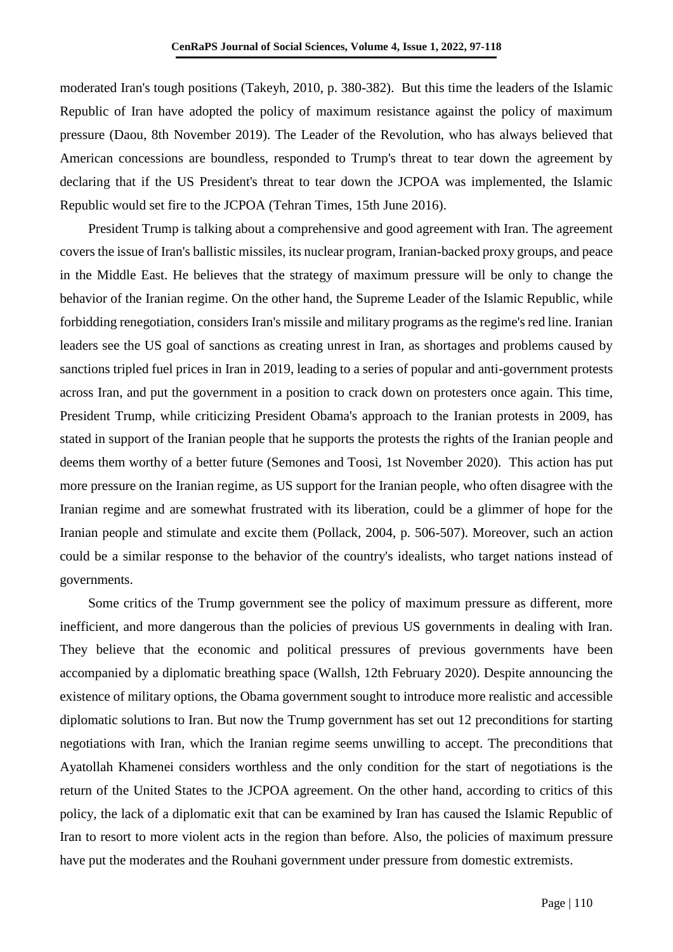moderated Iran's tough positions (Takeyh, 2010, p. 380-382). But this time the leaders of the Islamic Republic of Iran have adopted the policy of maximum resistance against the policy of maximum pressure (Daou, 8th November 2019). The Leader of the Revolution, who has always believed that American concessions are boundless, responded to Trump's threat to tear down the agreement by declaring that if the US President's threat to tear down the JCPOA was implemented, the Islamic Republic would set fire to the JCPOA (Tehran Times, 15th June 2016).

President Trump is talking about a comprehensive and good agreement with Iran. The agreement covers the issue of Iran's ballistic missiles, its nuclear program, Iranian-backed proxy groups, and peace in the Middle East. He believes that the strategy of maximum pressure will be only to change the behavior of the Iranian regime. On the other hand, the Supreme Leader of the Islamic Republic, while forbidding renegotiation, considers Iran's missile and military programs as the regime's red line. Iranian leaders see the US goal of sanctions as creating unrest in Iran, as shortages and problems caused by sanctions tripled fuel prices in Iran in 2019, leading to a series of popular and anti-government protests across Iran, and put the government in a position to crack down on protesters once again. This time, President Trump, while criticizing President Obama's approach to the Iranian protests in 2009, has stated in support of the Iranian people that he supports the protests the rights of the Iranian people and deems them worthy of a better future (Semones and Toosi, 1st November 2020). This action has put more pressure on the Iranian regime, as US support for the Iranian people, who often disagree with the Iranian regime and are somewhat frustrated with its liberation, could be a glimmer of hope for the Iranian people and stimulate and excite them (Pollack, 2004, p. 506-507). Moreover, such an action could be a similar response to the behavior of the country's idealists, who target nations instead of governments.

Some critics of the Trump government see the policy of maximum pressure as different, more inefficient, and more dangerous than the policies of previous US governments in dealing with Iran. They believe that the economic and political pressures of previous governments have been accompanied by a diplomatic breathing space (Wallsh, 12th February 2020). Despite announcing the existence of military options, the Obama government sought to introduce more realistic and accessible diplomatic solutions to Iran. But now the Trump government has set out 12 preconditions for starting negotiations with Iran, which the Iranian regime seems unwilling to accept. The preconditions that Ayatollah Khamenei considers worthless and the only condition for the start of negotiations is the return of the United States to the JCPOA agreement. On the other hand, according to critics of this policy, the lack of a diplomatic exit that can be examined by Iran has caused the Islamic Republic of Iran to resort to more violent acts in the region than before. Also, the policies of maximum pressure have put the moderates and the Rouhani government under pressure from domestic extremists.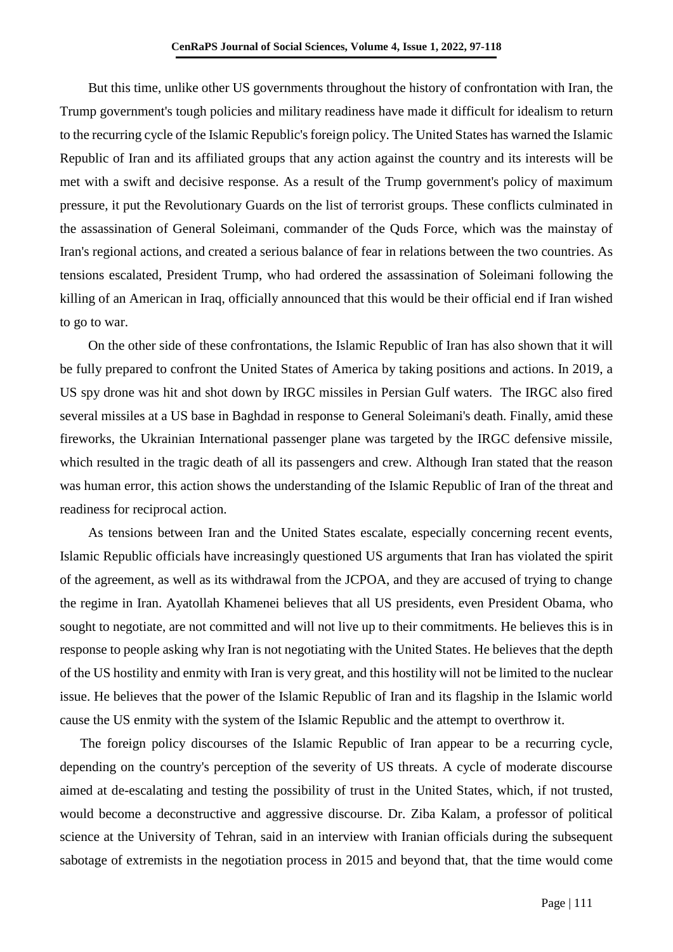But this time, unlike other US governments throughout the history of confrontation with Iran, the Trump government's tough policies and military readiness have made it difficult for idealism to return to the recurring cycle of the Islamic Republic's foreign policy. The United States has warned the Islamic Republic of Iran and its affiliated groups that any action against the country and its interests will be met with a swift and decisive response. As a result of the Trump government's policy of maximum pressure, it put the Revolutionary Guards on the list of terrorist groups. These conflicts culminated in the assassination of General Soleimani, commander of the Quds Force, which was the mainstay of Iran's regional actions, and created a serious balance of fear in relations between the two countries. As tensions escalated, President Trump, who had ordered the assassination of Soleimani following the killing of an American in Iraq, officially announced that this would be their official end if Iran wished to go to war.

On the other side of these confrontations, the Islamic Republic of Iran has also shown that it will be fully prepared to confront the United States of America by taking positions and actions. In 2019, a US spy drone was hit and shot down by IRGC missiles in Persian Gulf waters. The IRGC also fired several missiles at a US base in Baghdad in response to General Soleimani's death. Finally, amid these fireworks, the Ukrainian International passenger plane was targeted by the IRGC defensive missile, which resulted in the tragic death of all its passengers and crew. Although Iran stated that the reason was human error, this action shows the understanding of the Islamic Republic of Iran of the threat and readiness for reciprocal action.

As tensions between Iran and the United States escalate, especially concerning recent events, Islamic Republic officials have increasingly questioned US arguments that Iran has violated the spirit of the agreement, as well as its withdrawal from the JCPOA, and they are accused of trying to change the regime in Iran. Ayatollah Khamenei believes that all US presidents, even President Obama, who sought to negotiate, are not committed and will not live up to their commitments. He believes this is in response to people asking why Iran is not negotiating with the United States. He believes that the depth of the US hostility and enmity with Iran is very great, and this hostility will not be limited to the nuclear issue. He believes that the power of the Islamic Republic of Iran and its flagship in the Islamic world cause the US enmity with the system of the Islamic Republic and the attempt to overthrow it.

The foreign policy discourses of the Islamic Republic of Iran appear to be a recurring cycle, depending on the country's perception of the severity of US threats. A cycle of moderate discourse aimed at de-escalating and testing the possibility of trust in the United States, which, if not trusted, would become a deconstructive and aggressive discourse. Dr. Ziba Kalam, a professor of political science at the University of Tehran, said in an interview with Iranian officials during the subsequent sabotage of extremists in the negotiation process in 2015 and beyond that, that the time would come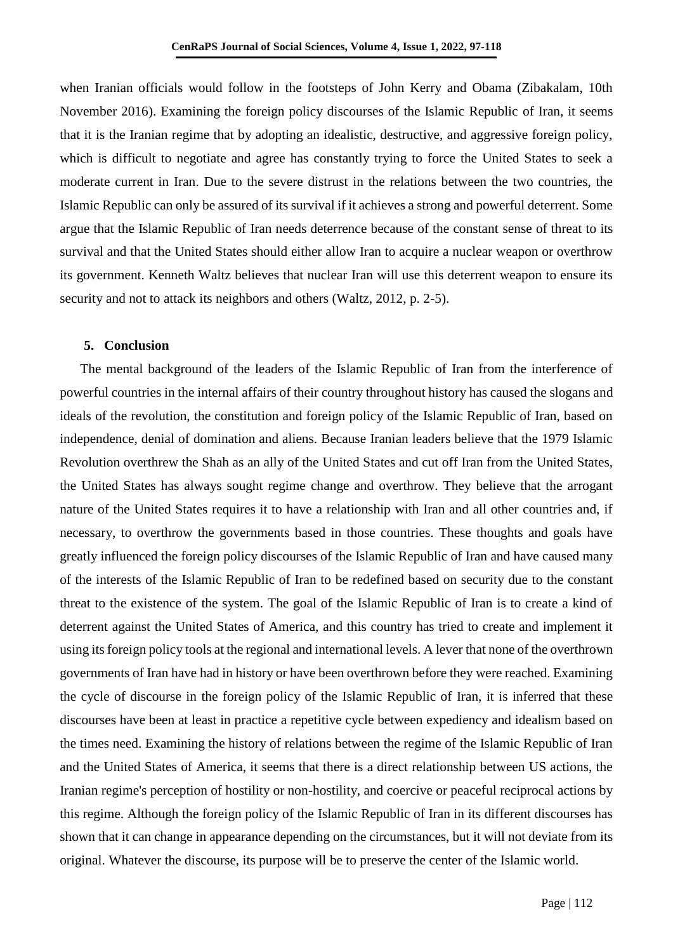when Iranian officials would follow in the footsteps of John Kerry and Obama (Zibakalam, 10th November 2016). Examining the foreign policy discourses of the Islamic Republic of Iran, it seems that it is the Iranian regime that by adopting an idealistic, destructive, and aggressive foreign policy, which is difficult to negotiate and agree has constantly trying to force the United States to seek a moderate current in Iran. Due to the severe distrust in the relations between the two countries, the Islamic Republic can only be assured of its survival if it achieves a strong and powerful deterrent. Some argue that the Islamic Republic of Iran needs deterrence because of the constant sense of threat to its survival and that the United States should either allow Iran to acquire a nuclear weapon or overthrow its government. Kenneth Waltz believes that nuclear Iran will use this deterrent weapon to ensure its security and not to attack its neighbors and others (Waltz, 2012, p. 2-5).

### **5. Conclusion**

The mental background of the leaders of the Islamic Republic of Iran from the interference of powerful countries in the internal affairs of their country throughout history has caused the slogans and ideals of the revolution, the constitution and foreign policy of the Islamic Republic of Iran, based on independence, denial of domination and aliens. Because Iranian leaders believe that the 1979 Islamic Revolution overthrew the Shah as an ally of the United States and cut off Iran from the United States, the United States has always sought regime change and overthrow. They believe that the arrogant nature of the United States requires it to have a relationship with Iran and all other countries and, if necessary, to overthrow the governments based in those countries. These thoughts and goals have greatly influenced the foreign policy discourses of the Islamic Republic of Iran and have caused many of the interests of the Islamic Republic of Iran to be redefined based on security due to the constant threat to the existence of the system. The goal of the Islamic Republic of Iran is to create a kind of deterrent against the United States of America, and this country has tried to create and implement it using its foreign policy tools at the regional and international levels. A lever that none of the overthrown governments of Iran have had in history or have been overthrown before they were reached. Examining the cycle of discourse in the foreign policy of the Islamic Republic of Iran, it is inferred that these discourses have been at least in practice a repetitive cycle between expediency and idealism based on the times need. Examining the history of relations between the regime of the Islamic Republic of Iran and the United States of America, it seems that there is a direct relationship between US actions, the Iranian regime's perception of hostility or non-hostility, and coercive or peaceful reciprocal actions by this regime. Although the foreign policy of the Islamic Republic of Iran in its different discourses has shown that it can change in appearance depending on the circumstances, but it will not deviate from its original. Whatever the discourse, its purpose will be to preserve the center of the Islamic world.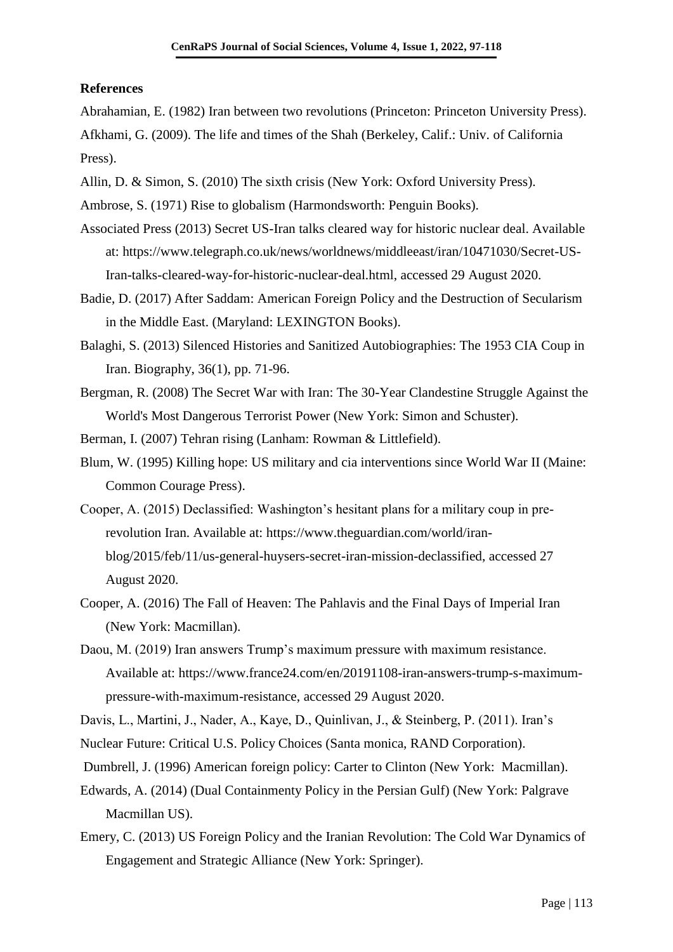### **References**

Abrahamian, E. (1982) Iran between two revolutions (Princeton: Princeton University Press). Afkhami, G. (2009). The life and times of the Shah (Berkeley, Calif.: Univ. of California Press).

Allin, D. & Simon, S. (2010) The sixth crisis (New York: Oxford University Press).

Ambrose, S. (1971) Rise to globalism (Harmondsworth: Penguin Books).

- Associated Press (2013) Secret US-Iran talks cleared way for historic nuclear deal. Available at: [https://www.telegraph.co.uk/news/worldnews/middleeast/iran/10471030/Secret-US-](https://www.telegraph.co.uk/news/worldnews/middleeast/iran/10471030/Secret-US-Iran-talks-cleared-way-for-historic-nuclear-deal.html)[Iran-talks-cleared-way-for-historic-nuclear-deal.html,](https://www.telegraph.co.uk/news/worldnews/middleeast/iran/10471030/Secret-US-Iran-talks-cleared-way-for-historic-nuclear-deal.html) accessed 29 August 2020.
- Badie, D. (2017) After Saddam: American Foreign Policy and the Destruction of Secularism in the Middle East. (Maryland: LEXINGTON Books).
- Balaghi, S. (2013) Silenced Histories and Sanitized Autobiographies: The 1953 CIA Coup in Iran. Biography, 36(1), pp. 71-96.
- Bergman, R. (2008) The Secret War with Iran: The 30-Year Clandestine Struggle Against the World's Most Dangerous Terrorist Power (New York: Simon and Schuster).

Berman, I. (2007) Tehran rising (Lanham: Rowman & Littlefield).

- Blum, W. (1995) Killing hope: US military and cia interventions since World War II (Maine: Common Courage Press).
- Cooper, A. (2015) Declassified: Washington's hesitant plans for a military coup in prerevolution Iran. Available at: [https://www.theguardian.com/world/iran](https://www.theguardian.com/world/iran-blog/2015/feb/11/us-general-huysers-secret-iran-mission-declassified)[blog/2015/feb/11/us-general-huysers-secret-iran-mission-declassified,](https://www.theguardian.com/world/iran-blog/2015/feb/11/us-general-huysers-secret-iran-mission-declassified) accessed 27 August 2020.
- Cooper, A. (2016) The Fall of Heaven: The Pahlavis and the Final Days of Imperial Iran (New York: Macmillan).
- Daou, M. (2019) Iran answers Trump's maximum pressure with maximum resistance. Available at: [https://www.france24.com/en/20191108-iran-answers-trump-s-maximum](https://www.france24.com/en/20191108-iran-answers-trump-s-maximum-pressure-with-maximum-resistance)[pressure-with-maximum-resistance,](https://www.france24.com/en/20191108-iran-answers-trump-s-maximum-pressure-with-maximum-resistance) accessed 29 August 2020.

- Nuclear Future: Critical U.S. Policy Choices (Santa monica, RAND Corporation).
- Dumbrell, J. (1996) American foreign policy: Carter to Clinton (New York: Macmillan).
- Edwards, A. (2014) (Dual Containmenty Policy in the Persian Gulf) (New York: Palgrave Macmillan US).
- Emery, C. (2013) US Foreign Policy and the Iranian Revolution: The Cold War Dynamics of Engagement and Strategic Alliance (New York: Springer).

Davis, L., Martini, J., Nader, A., Kaye, D., Quinlivan, J., & Steinberg, P. (2011). Iran's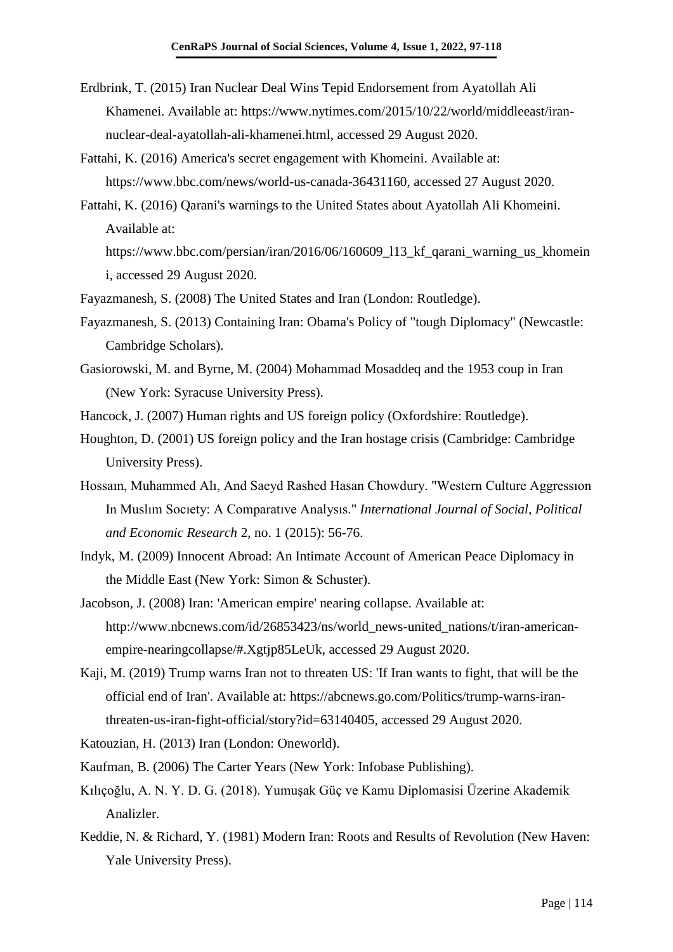- Erdbrink, T. (2015) Iran Nuclear Deal Wins Tepid Endorsement from Ayatollah Ali Khamenei. Available at: [https://www.nytimes.com/2015/10/22/world/middleeast/iran](https://www.nytimes.com/2015/10/22/world/middleeast/iran-nuclear-deal-ayatollah-ali-khamenei.html)[nuclear-deal-ayatollah-ali-khamenei.html,](https://www.nytimes.com/2015/10/22/world/middleeast/iran-nuclear-deal-ayatollah-ali-khamenei.html) accessed 29 August 2020.
- Fattahi, K. (2016) America's secret engagement with Khomeini. Available at: [https://www.bbc.com/news/world-us-canada-36431160,](https://www.bbc.com/news/world-us-canada-36431160) accessed 27 August 2020.
- Fattahi, K. (2016) Qarani's warnings to the United States about Ayatollah Ali Khomeini. Available at:

https://www.bbc.com/persian/iran/2016/06/160609 113 kf qarani warning us khomein i, accessed 29 August 2020.

- Fayazmanesh, S. (2008) The United States and Iran (London: Routledge).
- Fayazmanesh, S. (2013) Containing Iran: Obama's Policy of "tough Diplomacy" (Newcastle: Cambridge Scholars).
- Gasiorowski, M. and Byrne, M. (2004) Mohammad Mosaddeq and the 1953 coup in Iran (New York: Syracuse University Press).
- Hancock, J. (2007) Human rights and US foreign policy (Oxfordshire: Routledge).
- Houghton, D. (2001) US foreign policy and the Iran hostage crisis (Cambridge: Cambridge University Press).
- Hossaın, Muhammed Alı, And Saeyd Rashed Hasan Chowdury. "Western Culture Aggressıon In Muslım Socıety: A Comparatıve Analysıs." *International Journal of Social, Political and Economic Research* 2, no. 1 (2015): 56-76.
- Indyk, M. (2009) Innocent Abroad: An Intimate Account of American Peace Diplomacy in the Middle East (New York: Simon & Schuster).
- Jacobson, J. (2008) Iran: 'American empire' nearing collapse. Available at: [http://www.nbcnews.com/id/26853423/ns/world\\_news-united\\_nations/t/iran-american](http://www.nbcnews.com/id/26853423/ns/world_news-united_nations/t/iran-american-empire-nearingcollapse/#.Xgtjp85LeUk)[empire-nearingcollapse/#.Xgtjp85LeUk,](http://www.nbcnews.com/id/26853423/ns/world_news-united_nations/t/iran-american-empire-nearingcollapse/#.Xgtjp85LeUk) accessed 29 August 2020.
- Kaji, M. (2019) Trump warns Iran not to threaten US: 'If Iran wants to fight, that will be the official end of Iran'. Available at: [https://abcnews.go.com/Politics/trump-warns-iran](https://abcnews.go.com/Politics/trump-warns-iran-threaten-us-iran-fight-official/story?id=63140405)[threaten-us-iran-fight-official/story?id=63140405,](https://abcnews.go.com/Politics/trump-warns-iran-threaten-us-iran-fight-official/story?id=63140405) accessed 29 August 2020.
- Katouzian, H. (2013) Iran (London: Oneworld).
- Kaufman, B. (2006) The Carter Years (New York: Infobase Publishing).
- Kılıçoğlu, A. N. Y. D. G. (2018). Yumuşak Güç ve Kamu Diplomasisi Üzerine Akademik Analizler.
- Keddie, N. & Richard, Y. (1981) Modern Iran: Roots and Results of Revolution (New Haven: Yale University Press).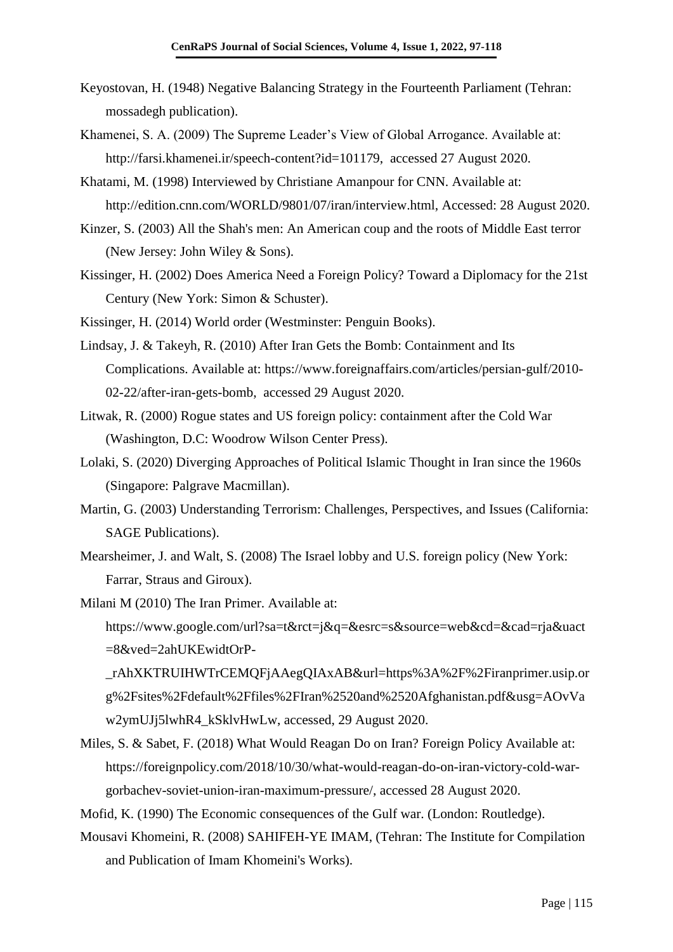- Keyostovan, H. (1948) Negative Balancing Strategy in the Fourteenth Parliament (Tehran: mossadegh publication).
- Khamenei, S. A. (2009) The Supreme Leader's View of Global Arrogance. Available at: [http://farsi.khamenei.ir/speech-content?id=101179,](http://farsi.khamenei.ir/speech-content?id=101179) accessed 27 August 2020.
- Khatami, M. (1998) Interviewed by Christiane Amanpour for CNN. Available at: http://edition.cnn.com/WORLD/9801/07/iran/interview.html, Accessed: 28 August 2020.
- Kinzer, S. (2003) All the Shah's men: An American coup and the roots of Middle East terror (New Jersey: John Wiley & Sons).
- Kissinger, H. (2002) Does America Need a Foreign Policy? Toward a Diplomacy for the 21st Century (New York: Simon & Schuster).

Kissinger, H. (2014) World order (Westminster: Penguin Books).

- Lindsay, J. & Takeyh, R. (2010) After Iran Gets the Bomb: Containment and Its Complications. Available at: [https://www.foreignaffairs.com/articles/persian-gulf/2010-](https://www.foreignaffairs.com/articles/persian-gulf/2010-02-22/after-iran-gets-bomb) [02-22/after-iran-gets-bomb,](https://www.foreignaffairs.com/articles/persian-gulf/2010-02-22/after-iran-gets-bomb) accessed 29 August 2020.
- Litwak, R. (2000) Rogue states and US foreign policy: containment after the Cold War (Washington, D.C: Woodrow Wilson Center Press).
- Lolaki, S. (2020) Diverging Approaches of Political Islamic Thought in Iran since the 1960s (Singapore: Palgrave Macmillan).
- Martin, G. (2003) Understanding Terrorism: Challenges, Perspectives, and Issues (California: SAGE Publications).
- Mearsheimer, J. and Walt, S. (2008) The Israel lobby and U.S. foreign policy (New York: Farrar, Straus and Giroux).

Milani M (2010) The Iran Primer. Available at: https://www.google.com/url?sa=t&rct=j&q=&esrc=s&source=web&cd=&cad=rja&uact =8&ved=2ahUKEwidtOrP- \_rAhXKTRUIHWTrCEMQFjAAegQIAxAB&url=https%3A%2F%2Firanprimer.usip.or

g%2Fsites%2Fdefault%2Ffiles%2FIran%2520and%2520Afghanistan.pdf&usg=AOvVa w2ymUJj5lwhR4\_kSklvHwLw, accessed, 29 August 2020.

Miles, S. & Sabet, F. (2018) What Would Reagan Do on Iran? Foreign Policy Available at: [https://foreignpolicy.com/2018/10/30/what-would-reagan-do-on-iran-victory-cold-war](https://foreignpolicy.com/2018/10/30/what-would-reagan-do-on-iran-victory-cold-war-gorbachev-soviet-union-iran-maximum-pressure/)[gorbachev-soviet-union-iran-maximum-pressure/,](https://foreignpolicy.com/2018/10/30/what-would-reagan-do-on-iran-victory-cold-war-gorbachev-soviet-union-iran-maximum-pressure/) accessed 28 August 2020.

Mofid, K. (1990) The Economic consequences of the Gulf war. (London: Routledge).

Mousavi Khomeini, R. (2008) SAHIFEH-YE IMAM, (Tehran: The Institute for Compilation and Publication of Imam Khomeini's Works).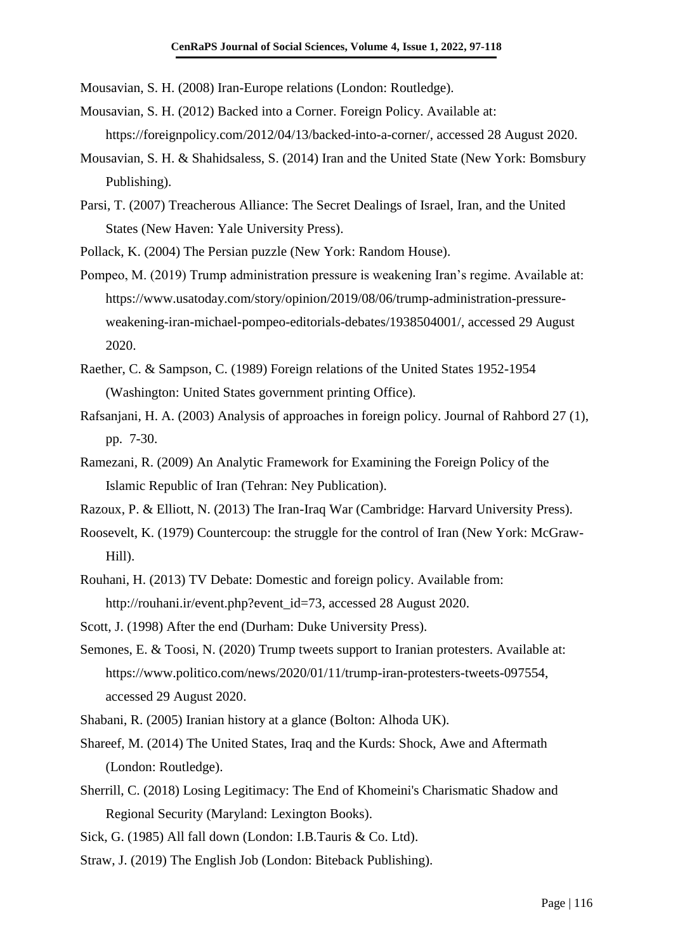Mousavian, S. H. (2008) Iran-Europe relations (London: Routledge).

- Mousavian, S. H. (2012) Backed into a Corner. Foreign Policy. Available at: [https://foreignpolicy.com/2012/04/13/backed-into-a-corner/,](https://foreignpolicy.com/2012/04/13/backed-into-a-corner/) accessed 28 August 2020.
- Mousavian, S. H. & Shahidsaless, S. (2014) Iran and the United State (New York: Bomsbury Publishing).
- Parsi, T. (2007) Treacherous Alliance: The Secret Dealings of Israel, Iran, and the United States (New Haven: Yale University Press).
- Pollack, K. (2004) The Persian puzzle (New York: Random House).
- Pompeo, M. (2019) Trump administration pressure is weakening Iran's regime. Available at: https://www.usatoday.com/story/opinion/2019/08/06/trump-administration-pressureweakening-iran-michael-pompeo-editorials-debates/1938504001/, accessed 29 August 2020.
- Raether, C. & Sampson, C. (1989) Foreign relations of the United States 1952-1954 (Washington: United States government printing Office).
- Rafsanjani, H. A. (2003) Analysis of approaches in foreign policy. Journal of Rahbord 27 (1), pp. 7-30.
- Ramezani, R. (2009) An Analytic Framework for Examining the Foreign Policy of the Islamic Republic of Iran (Tehran: Ney Publication).
- Razoux, P. & Elliott, N. (2013) The Iran-Iraq War (Cambridge: Harvard University Press).
- Roosevelt, K. (1979) Countercoup: the struggle for the control of Iran (New York: McGraw-Hill).
- Rouhani, H. (2013) TV Debate: Domestic and foreign policy. Available from: [http://rouhani.ir/event.php?event\\_id=73,](http://rouhani.ir/event.php?event_id=73) accessed 28 August 2020.
- Scott, J. (1998) After the end (Durham: Duke University Press).
- Semones, E. & Toosi, N. (2020) Trump tweets support to Iranian protesters. Available at: https://www.politico.com/news/2020/01/11/trump-iran-protesters-tweets-097554, accessed 29 August 2020.
- Shabani, R. (2005) Iranian history at a glance (Bolton: Alhoda UK).
- Shareef, M. (2014) The United States, Iraq and the Kurds: Shock, Awe and Aftermath (London: Routledge).
- Sherrill, C. (2018) Losing Legitimacy: The End of Khomeini's Charismatic Shadow and Regional Security (Maryland: Lexington Books).
- Sick, G. (1985) All fall down (London: I.B.Tauris & Co. Ltd).
- Straw, J. (2019) The English Job (London: Biteback Publishing).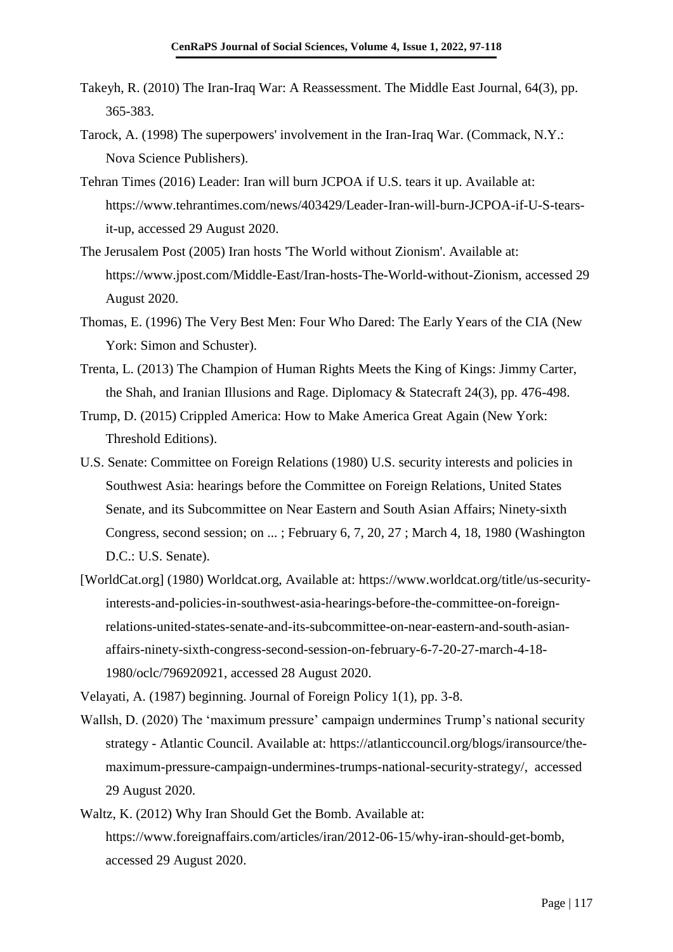- Takeyh, R. (2010) The Iran-Iraq War: A Reassessment. The Middle East Journal, 64(3), pp. 365-383.
- Tarock, A. (1998) The superpowers' involvement in the Iran-Iraq War. (Commack, N.Y.: Nova Science Publishers).
- Tehran Times (2016) Leader: Iran will burn JCPOA if U.S. tears it up. Available at: https://www.tehrantimes.com/news/403429/Leader-Iran-will-burn-JCPOA-if-U-S-tearsit-up, accessed 29 August 2020.
- The Jerusalem Post (2005) Iran hosts 'The World without Zionism'. Available at: https://www.jpost.com/Middle-East/Iran-hosts-The-World-without-Zionism, accessed 29 August 2020.
- Thomas, E. (1996) The Very Best Men: Four Who Dared: The Early Years of the CIA (New York: Simon and Schuster).
- Trenta, L. (2013) The Champion of Human Rights Meets the King of Kings: Jimmy Carter, the Shah, and Iranian Illusions and Rage. Diplomacy & Statecraft 24(3), pp. 476-498.
- Trump, D. (2015) Crippled America: How to Make America Great Again (New York: Threshold Editions).
- U.S. Senate: Committee on Foreign Relations (1980) U.S. security interests and policies in Southwest Asia: hearings before the Committee on Foreign Relations, United States Senate, and its Subcommittee on Near Eastern and South Asian Affairs; Ninety-sixth Congress, second session; on ... ; February 6, 7, 20, 27 ; March 4, 18, 1980 (Washington D.C.: U.S. Senate).
- [WorldCat.org] (1980) Worldcat.org, Available at: [https://www.worldcat.org/title/us-security](https://www.worldcat.org/title/us-security-interests-and-policies-in-southwest-asia-hearings-before-the-committee-on-foreign-relations-united-states-senate-and-its-subcommittee-on-near-eastern-and-south-asian-affairs-ninety-sixth-congress-second-session-on-february-6-7-20-27-march-4-18-1980/oclc/796920921)[interests-and-policies-in-southwest-asia-hearings-before-the-committee-on-foreign](https://www.worldcat.org/title/us-security-interests-and-policies-in-southwest-asia-hearings-before-the-committee-on-foreign-relations-united-states-senate-and-its-subcommittee-on-near-eastern-and-south-asian-affairs-ninety-sixth-congress-second-session-on-february-6-7-20-27-march-4-18-1980/oclc/796920921)[relations-united-states-senate-and-its-subcommittee-on-near-eastern-and-south-asian](https://www.worldcat.org/title/us-security-interests-and-policies-in-southwest-asia-hearings-before-the-committee-on-foreign-relations-united-states-senate-and-its-subcommittee-on-near-eastern-and-south-asian-affairs-ninety-sixth-congress-second-session-on-february-6-7-20-27-march-4-18-1980/oclc/796920921)[affairs-ninety-sixth-congress-second-session-on-february-6-7-20-27-march-4-18-](https://www.worldcat.org/title/us-security-interests-and-policies-in-southwest-asia-hearings-before-the-committee-on-foreign-relations-united-states-senate-and-its-subcommittee-on-near-eastern-and-south-asian-affairs-ninety-sixth-congress-second-session-on-february-6-7-20-27-march-4-18-1980/oclc/796920921) [1980/oclc/796920921,](https://www.worldcat.org/title/us-security-interests-and-policies-in-southwest-asia-hearings-before-the-committee-on-foreign-relations-united-states-senate-and-its-subcommittee-on-near-eastern-and-south-asian-affairs-ninety-sixth-congress-second-session-on-february-6-7-20-27-march-4-18-1980/oclc/796920921) accessed 28 August 2020.

Velayati, A. (1987) beginning. Journal of Foreign Policy 1(1), pp. 3-8.

- Wallsh, D. (2020) The 'maximum pressure' campaign undermines Trump's national security strategy - Atlantic Council. Available at: [https://atlanticcouncil.org/blogs/iransource/the](https://atlanticcouncil.org/blogs/iransource/the-maximum-pressure-campaign-undermines-trumps-national-security-strategy/)[maximum-pressure-campaign-undermines-trumps-national-security-strategy/,](https://atlanticcouncil.org/blogs/iransource/the-maximum-pressure-campaign-undermines-trumps-national-security-strategy/) accessed 29 August 2020.
- Waltz, K. (2012) Why Iran Should Get the Bomb. Available at: [https://www.foreignaffairs.com/articles/iran/2012-06-15/why-iran-should-get-bomb,](https://www.foreignaffairs.com/articles/iran/2012-06-15/why-iran-should-get-bomb) accessed 29 August 2020.